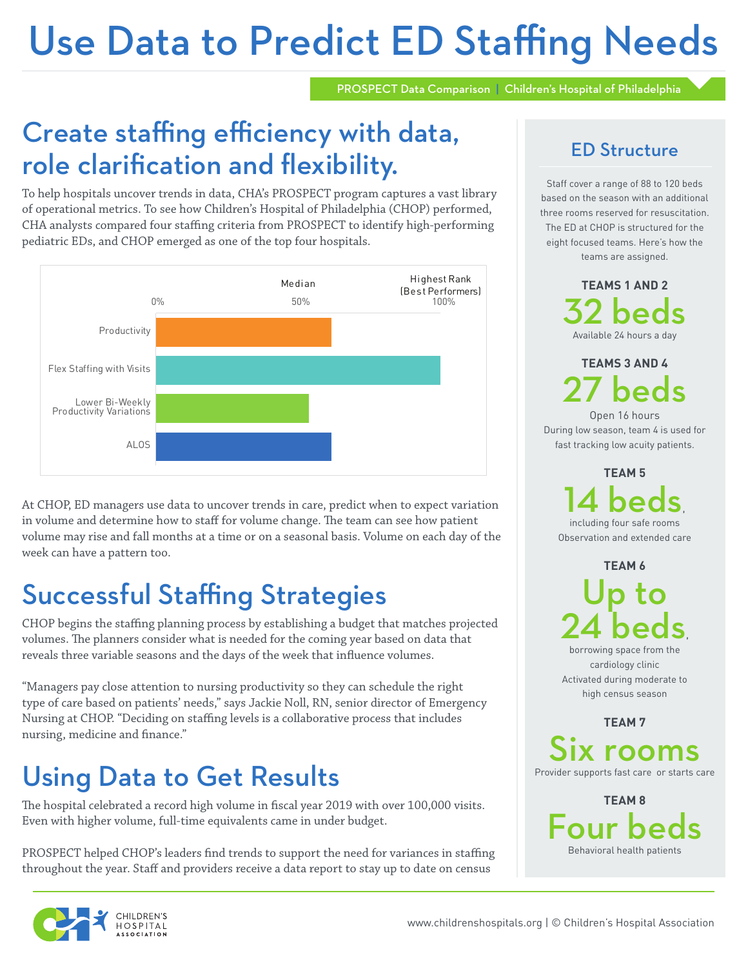# Use Data to Predict ED Staffing Needs

PROSPECT Data Comparison | Children's Hospital of Philadelphia

## Create staffing efficiency with data, role clarification and flexibility.

To help hospitals uncover trends in data, CHA's PROSPECT program captures a vast library of operational metrics. To see how Children's Hospital of Philadelphia (CHOP) performed, CHA analysts compared four staffing criteria from PROSPECT to identify high-performing pediatric EDs, and CHOP emerged as one of the top four hospitals.



At CHOP, ED managers use data to uncover trends in care, predict when to expect variation in volume and determine how to staff for volume change. The team can see how patient volume may rise and fall months at a time or on a seasonal basis. Volume on each day of the week can have a pattern too.

## Successful Staffing Strategies

CHOP begins the staffing planning process by establishing a budget that matches projected volumes. The planners consider what is needed for the coming year based on data that reveals three variable seasons and the days of the week that influence volumes.

"Managers pay close attention to nursing productivity so they can schedule the right type of care based on patients' needs," says Jackie Noll, RN, senior director of Emergency Nursing at CHOP. "Deciding on staffing levels is a collaborative process that includes nursing, medicine and finance."

## Using Data to Get Results

The hospital celebrated a record high volume in fiscal year 2019 with over 100,000 visits. Even with higher volume, full-time equivalents came in under budget.

PROSPECT helped CHOP's leaders find trends to support the need for variances in staffing throughout the year. Staff and providers receive a data report to stay up to date on census

## ED Structure

Staff cover a range of 88 to 120 beds based on the season with an additional three rooms reserved for resuscitation. The ED at CHOP is structured for the eight focused teams. Here's how the teams are assigned.

> **TEAMS 1 AND 2** 32 beds Available 24 hours a day

**TEAMS 3 AND 4** 27 beds

Open 16 hours During low season, team 4 is used for fast tracking low acuity patients.

> **TEAM 5** 14 beds, including four safe rooms

Observation and extended care

**TEAM 6**

Up to 24 beds,

borrowing space from the cardiology clinic Activated during moderate to high census season

**TEAM 7**

Six rooms Provider supports fast care or starts care

**TEAM 8**  $\Omega$ Behavioral health patients